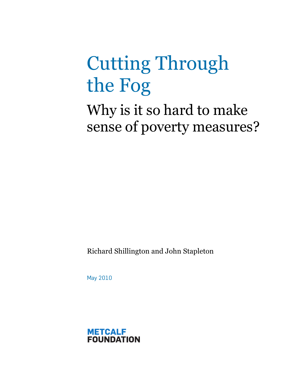# Cutting Through the Fog

Why is it so hard to make sense of poverty measures?

Richard Shillington and John Stapleton

May 2010

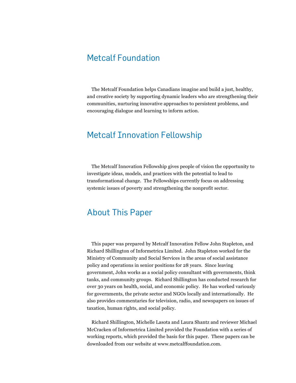#### Metcalf Foundation

The Metcalf Foundation helps Canadians imagine and build a just, healthy, and creative society by supporting dynamic leaders who are strengthening their communities, nurturing innovative approaches to persistent problems, and encouraging dialogue and learning to inform action.

#### Metcalf Innovation Fellowship

The Metcalf Innovation Fellowship gives people of vision the opportunity to investigate ideas, models, and practices with the potential to lead to transformational change. The Fellowships currently focus on addressing systemic issues of poverty and strengthening the nonprofit sector.

#### About This Paper

This paper was prepared by Metcalf Innovation Fellow John Stapleton, and Richard Shillington of Informetrica Limited. John Stapleton worked for the Ministry of Community and Social Services in the areas of social assistance policy and operations in senior positions for 28 years. Since leaving government, John works as a social policy consultant with governments, think tanks, and community groups. Richard Shillington has conducted research for over 30 years on health, social, and economic policy. He has worked variously for governments, the private sector and NGOs locally and internationally. He also provides commentaries for television, radio, and newspapers on issues of taxation, human rights, and social policy.

Richard Shillington, Michelle Lasota and Laura Shantz and reviewer Michael McCracken of Informetrica Limited provided the Foundation with a series of working reports, which provided the basis for this paper. These papers can be downloaded from our website at www.metcalffoundation.com.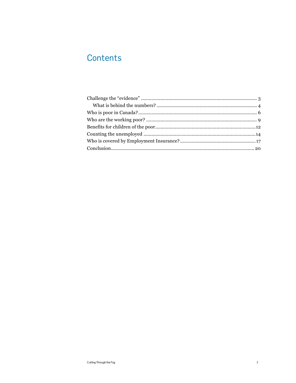# Contents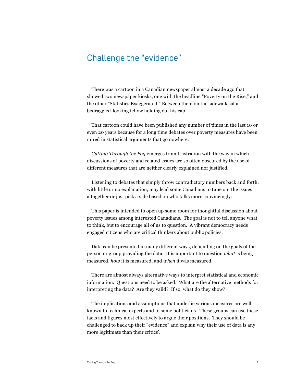## Challenge the "evidence"

There was a cartoon in a Canadian newspaper almost a decade ago that showed two newspaper kiosks, one with the headline "Poverty on the Rise," and the other "Statistics Exaggerated." Between them on the sidewalk sat a bedraggled-looking fellow holding out his cap.

That cartoon could have been published any number of times in the last 10 or even 20 years because for a long time debates over poverty measures have been mired in statistical arguments that go nowhere.

*Cutting Through the Fog* emerges from frustration with the way in which discussions of poverty and related issues are so often obscured by the use of different measures that are neither clearly explained nor justified.

Listening to debates that simply throw contradictory numbers back and forth, with little or no explanation, may lead some Canadians to tune out the issues altogether or just pick a side based on who talks more convincingly.

This paper is intended to open up some room for thoughtful discussion about poverty issues among interested Canadians. The goal is not to tell anyone what to think, but to encourage all of us to question. A vibrant democracy needs engaged citizens who are critical thinkers about public policies.

Data can be presented in many different ways, depending on the goals of the person or group providing the data. It is important to question *what* is being measured, *how* it is measured, and *when* it was measured.

There are almost always alternative ways to interpret statistical and economic information. Questions need to be asked. What are the alternative methods for interpreting the data? Are they valid? If so, what do they show?

The implications and assumptions that underlie various measures are well known to technical experts and to some politicians. These groups can use these facts and figures most effectively to argue their positions. They should be challenged to back up their "evidence" and explain why their use of data is any more legitimate than their critics'.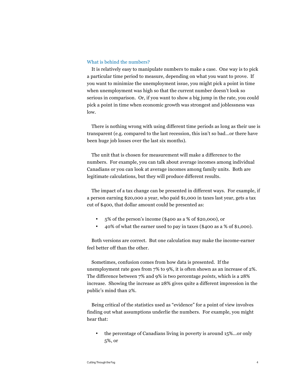#### What is behind the numbers?

It is relatively easy to manipulate numbers to make a case. One way is to pick a particular time period to measure, depending on what you want to prove. If you want to minimize the unemployment issue, you might pick a point in time when unemployment was high so that the current number doesn't look so serious in comparison. Or, if you want to show a big jump in the rate, you could pick a point in time when economic growth was strongest and joblessness was low.

There is nothing wrong with using different time periods as long as their use is transparent (e.g. compared to the last recession, this isn't so bad…or there have been huge job losses over the last six months).

The unit that is chosen for measurement will make a difference to the numbers. For example, you can talk about average incomes among individual Canadians or you can look at average incomes among family units. Both are legitimate calculations, but they will produce different results.

The impact of a tax change can be presented in different ways. For example, if a person earning \$20,000 a year, who paid \$1,000 in taxes last year, gets a tax cut of \$400, that dollar amount could be presented as:

- 5% of the person's income (\$400 as a % of \$20,000), or
- 40% of what the earner used to pay in taxes (\$400 as a % of \$1,000).

Both versions are correct. But one calculation may make the income-earner feel better off than the other.

Sometimes, confusion comes from how data is presented. If the unemployment rate goes from 7% to 9%, it is often shown as an increase of 2%. The difference between 7% and 9% is two percentage *points*, which is a 28% increase. Showing the increase as 28% gives quite a different impression in the public's mind than 2%.

Being critical of the statistics used as "evidence" for a point of view involves finding out what assumptions underlie the numbers. For example, you might hear that:

• the percentage of Canadians living in poverty is around 15%...or only 5%, or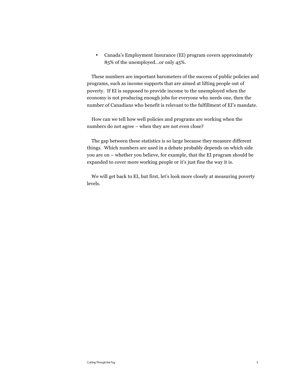• Canada's Employment Insurance (EI) program covers approximately 85% of the unemployed…or only 45%.

These numbers are important barometers of the success of public policies and programs, such as income supports that are aimed at lifting people out of poverty. If EI is supposed to provide income to the unemployed when the economy is not producing enough jobs for everyone who needs one, then the number of Canadians who benefit is relevant to the fulfillment of EI's mandate.

How can we tell how well policies and programs are working when the numbers do not agree – when they are not even close?

The gap between these statistics is so large because they measure different things. Which numbers are used in a debate probably depends on which side you are on – whether you believe, for example, that the EI program should be expanded to cover more working people or it's just fine the way it is.

We will get back to EI, but first, let's look more closely at measuring poverty levels.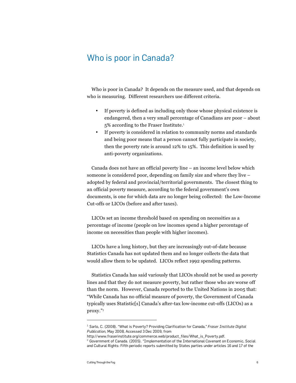### Who is poor in Canada?

Who is poor in Canada? It depends on the measure used, and that depends on who is measuring. Different researchers use different criteria.

- If poverty is defined as including only those whose physical existence is endangered, then a very small percentage of Canadians are poor – about 5% according to the Fraser Institute.<sup>1</sup>
- If poverty is considered in relation to community norms and standards and being poor means that a person cannot fully participate in society, then the poverty rate is around 12% to 15%. This definition is used by anti-poverty organizations.

Canada does not have an official poverty line – an income level below which someone is considered poor, depending on family size and where they live – adopted by federal and provincial/territorial governments. The closest thing to an official poverty measure, according to the federal government's own documents, is one for which data are no longer being collected: the Low-Income Cut-offs or LICOs (before and after taxes).

LICOs set an income threshold based on spending on necessities as a percentage of income (people on low incomes spend a higher percentage of income on necessities than people with higher incomes).

LICOs have a long history, but they are increasingly out-of-date because Statistics Canada has not updated them and no longer collects the data that would allow them to be updated. LICOs reflect 1992 spending patterns.

Statistics Canada has said variously that LICOs should not be used as poverty lines and that they do not measure poverty, but rather those who are worse off than the norm. However, Canada reported to the United Nations in 2005 that: "While Canada has no official measure of poverty, the Government of Canada typically uses Statistic[s] Canada's after-tax low-income cut-offs (LICOs) as a proxy."<sup>2</sup> 

<sup>1</sup> Sarlo, C. (2008). "What is Poverty? Providing Clarification for Canada," *Fraser Institute Digital Publication*, May 2008, Accessed 3 Dec 2009, from

http://www.fraserinstitute.org/commerce.web/product\_files/What\_is\_Poverty.pdf.

<sup>&</sup>lt;sup>2</sup> Government of Canada. (2005). "Implementation of the International Covenant on Economic, Social and Cultural Rights: Fifth periodic reports submitted by States parties under articles 16 and 17 of the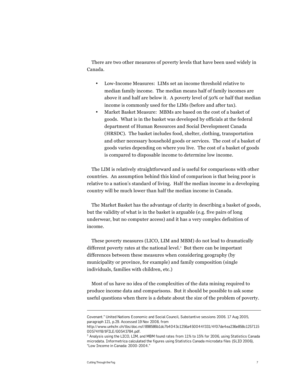There are two other measures of poverty levels that have been used widely in Canada.

- Low-Income Measures: LIMs set an income threshold relative to median family income. The median means half of family incomes are above it and half are below it. A poverty level of 50% or half that median income is commonly used for the LIMs (before and after tax).
- Market Basket Measure: MBMs are based on the cost of a basket of goods. What is in the basket was developed by officials at the federal department of Human Resources and Social Development Canada (HRSDC). The basket includes food, shelter, clothing, transportation and other necessary household goods or services. The cost of a basket of goods varies depending on where you live. The cost of a basket of goods is compared to disposable income to determine low income.

The LIM is relatively straightforward and is useful for comparisons with other countries. An assumption behind this kind of comparison is that being poor is relative to a nation's standard of living. Half the median income in a developing country will be much lower than half the median income in Canada.

The Market Basket has the advantage of clarity in describing a basket of goods, but the validity of what is in the basket is arguable (e.g. five pairs of long underwear, but no computer access) and it has a very complex definition of income.

These poverty measures (LICO, LIM and MBM) do not lead to dramatically different poverty rates at the national level.<sup>3</sup> But there can be important differences between these measures when considering geography (by municipality or province, for example) and family composition (single individuals, families with children, etc.)

Most of us have no idea of the complexities of the data mining required to produce income data and comparisons. But it should be possible to ask some useful questions when there is a debate about the size of the problem of poverty.

Covenant." United Nations Economic and Social Council, Substantive sessions 2006. 17 Aug 2005, paragraph 121, p.29. Accessed 19 Nov 2008, from

http://www.unhchr.ch/tbs/doc.nsf/898586b1dc7b4043c1256a450044f331/4f07de4ea236e858c1257115 00574ff8/\$FILE/G0543784.pdf.

<sup>&</sup>lt;sup>3</sup> Analysis using the LICO, LIM, and MBM found rates from 11% to 15% for 2006, using Statistics Canada microdata. Informetrica calculated the figures using Statistics Canada microdata files (SLID 2006), "Low Income in Canada: 2000-2004."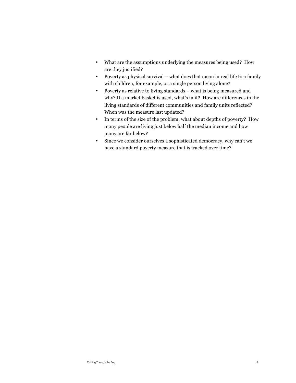- What are the assumptions underlying the measures being used? How are they justified?
- Poverty as physical survival what does that mean in real life to a family with children, for example, or a single person living alone?
- Poverty as relative to living standards what is being measured and why? If a market basket is used, what's in it? How are differences in the living standards of different communities and family units reflected? When was the measure last updated?
- In terms of the size of the problem, what about depths of poverty? How many people are living just below half the median income and how many are far below?
- Since we consider ourselves a sophisticated democracy, why can't we have a standard poverty measure that is tracked over time?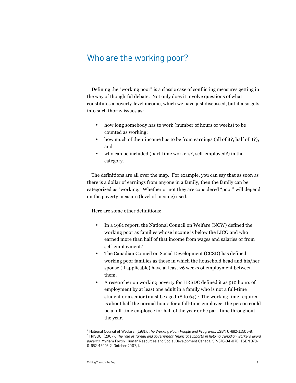#### Who are the working poor?

Defining the "working poor" is a classic case of conflicting measures getting in the way of thoughtful debate. Not only does it involve questions of what constitutes a poverty-level income, which we have just discussed, but it also gets into such thorny issues as:

- how long somebody has to work (number of hours or weeks) to be counted as working;
- how much of their income has to be from earnings (all of it?, half of it?); and
- who can be included (part-time workers?, self-employed?) in the category.

The definitions are all over the map. For example, you can say that as soon as there is a dollar of earnings from anyone in a family, then the family can be categorized as "working." Whether or not they are considered "poor" will depend on the poverty measure (level of income) used.

Here are some other definitions:

- In a 1981 report, the National Council on Welfare (NCW) defined the working poor as families whose income is below the LICO and who earned more than half of that income from wages and salaries or from self-employment.<sup>4</sup>
- The Canadian Council on Social Development (CCSD) has defined working poor families as those in which the household head and his/her spouse (if applicable) have at least 26 weeks of employment between them.
- A researcher on working poverty for HRSDC defined it as 910 hours of employment by at least one adult in a family who is not a full-time student or a senior (must be aged  $18$  to  $64$ ).<sup>5</sup> The working time required is about half the normal hours for a full-time employee; the person could be a full-time employee for half of the year or be part-time throughout the year.

<sup>&</sup>lt;sup>4</sup> National Council of Welfare. (1981). *The Working Poor: People and Programs.* ISBN 0-662-11505-8.<br><sup>5</sup> HPSDC, (2007). *The role of family and government financial supports in helping Canadian warkers o*  HRSDC. (2007). *The role of family and government financial supports in helping Canadian workers avoid poverty*. Myriam Fortin, Human Resources and Social Development Canada. SP-678-04-07E, ISBN 978- 0-662-45926-2, October 2007, i.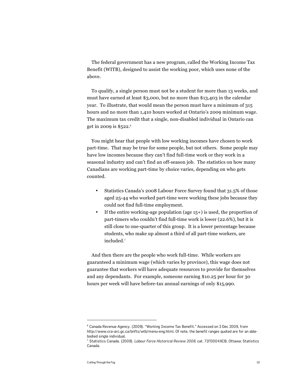The federal government has a new program, called the Working Income Tax Benefit (WITB), designed to assist the working poor, which uses none of the above.

To qualify, a single person must not be a student for more than 13 weeks, and must have earned at least \$3,000, but no more than \$13,403 in the calendar year. To illustrate, that would mean the person must have a minimum of 315 hours and no more than 1,410 hours worked at Ontario's 2009 minimum wage. The maximum tax credit that a single, non-disabled individual in Ontario can get in 2009 is  $$522$ .<sup>6</sup>

You might hear that people with low working incomes have chosen to work part-time. That may be true for some people, but not others. Some people may have low incomes because they can't find full-time work or they work in a seasonal industry and can't find an off-season job. The statistics on how many Canadians are working part-time by choice varies, depending on who gets counted.

- Statistics Canada's 2008 Labour Force Survey found that 31.5% of those aged 25-44 who worked part-time were working these jobs because they could not find full-time employment.
- If the entire working-age population (age 15+) is used, the proportion of part-timers who couldn't find full-time work is lower (22.6%), but it is still close to one-quarter of this group. It is a lower percentage because students, who make up almost a third of all part-time workers, are included.<sup>7</sup>

And then there are the people who work full-time. While workers are guaranteed a minimum wage (which varies by province), this wage does not guarantee that workers will have adequate resources to provide for themselves and any dependants. For example, someone earning \$10.25 per hour for 30 hours per week will have before-tax annual earnings of only \$15,990.

 $^6$  Canada Revenue Agency. (2009). "Working Income Tax Benefit." Accessed on 3 Dec 2009, from http://www.cra-arc.gc.ca/bnfts/wtb/menu-eng.html. Of note, the benefit ranges quoted are for an ablebodied single individual.

<sup>7</sup> Statistics Canada. (2009). *Labour Force Historical Review 2008*. cat. 71F0004XCB, Ottawa: Statistics Canada.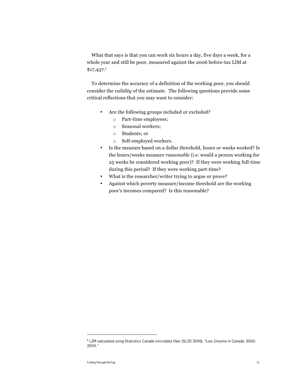What that says is that you can work six hours a day, five days a week, for a whole year and still be poor, measured against the 2006 before-tax LIM at  $$17,437.^8$ 

To determine the accuracy of a definition of the working poor, you should consider the *validity* of the estimate. The following questions provide some critical reflections that you may want to consider:

- Are the following groups included or excluded?
	- o Part-time employees;
	- o Seasonal workers;
	- o Students; or
	- o Self-employed workers.
- Is the measure based on a dollar threshold, hours or weeks worked? Is the hours/weeks measure *reasonable* (i.e. would a person working for 25 weeks be considered working poor)? If they were working full-time during this period? If they were working part-time?
- What is the researcher/writer trying to argue or prove?
- Against which poverty measure/income threshold are the working poor's incomes compared? Is this reasonable?

 $^8$  LIM calculated using Statistics Canada microdata files (SLID 2006), "Low Income in Canada: 2000-2004."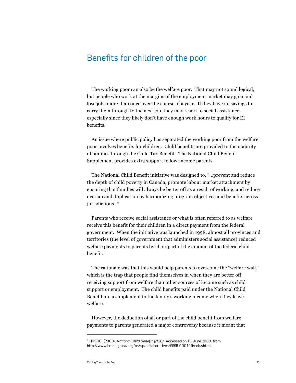#### Benefits for children of the poor

The working poor can also be the welfare poor. That may not sound logical, but people who work at the margins of the employment market may gain and lose jobs more than once over the course of a year. If they have no savings to carry them through to the next job, they may resort to social assistance, especially since they likely don't have enough work hours to qualify for EI benefits.

An issue where public policy has separated the working poor from the welfare poor involves benefits for children. Child benefits are provided to the majority of families through the Child Tax Benefit. The National Child Benefit Supplement provides extra support to low-income parents.

The National Child Benefit initiative was designed to, "...prevent and reduce the depth of child poverty in Canada, promote labour market attachment by ensuring that families will always be better off as a result of working, and reduce overlap and duplication by harmonizing program objectives and benefits across jurisdictions."<sup>9</sup>

Parents who receive social assistance or what is often referred to as welfare receive this benefit for their children in a direct payment from the federal government. When the initiative was launched in 1998, almost all provinces and territories (the level of government that administers social assistance) reduced welfare payments to parents by all or part of the amount of the federal child benefit.

The rationale was that this would help parents to overcome the "welfare wall," which is the trap that people find themselves in when they are better off receiving support from welfare than other sources of income such as child support or employment. The child benefits paid under the National Child Benefit are a supplement to the family's working income when they leave welfare.

However, the deduction of all or part of the child benefit from welfare payments to parents generated a major controversy because it meant that

<sup>9</sup> HRSDC. (2009). *National Child Benefit (NCB)*. Accessed on 10 June 2009, from http://www.hrsdc.gc.ca/eng/cs/sp/collaboratives/9999-000109/ncb.shtml.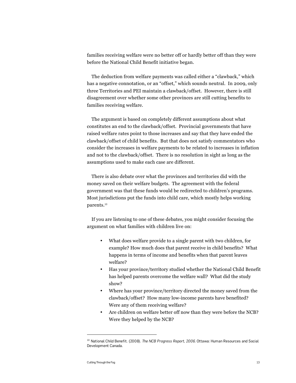families receiving welfare were no better off or hardly better off than they were before the National Child Benefit initiative began.

The deduction from welfare payments was called either a "clawback," which has a negative connotation, or an "offset," which sounds neutral. In 2009, only three Territories and PEI maintain a clawback/offset. However, there is still disagreement over whether some other provinces are still cutting benefits to families receiving welfare.

The argument is based on completely different assumptions about what constitutes an end to the clawback/offset. Provincial governments that have raised welfare rates point to those increases and say that they have ended the clawback/offset of child benefits. But that does not satisfy commentators who consider the increases in welfare payments to be related to increases in inflation and not to the clawback/offset. There is no resolution in sight as long as the assumptions used to make each case are different.

There is also debate over what the provinces and territories did with the money saved on their welfare budgets. The agreement with the federal government was that these funds would be redirected to children's programs. Most jurisdictions put the funds into child care, which mostly helps working parents.<sup>10</sup>

If you are listening to one of these debates, you might consider focusing the argument on what families with children live on:

- What does welfare provide to a single parent with two children, for example? How much does that parent receive in child benefits? What happens in terms of income and benefits when that parent leaves welfare?
- Has your province/territory studied whether the National Child Benefit has helped parents overcome the welfare wall? What did the study show?
- Where has your province/territory directed the money saved from the clawback/offset? How many low-income parents have benefited? Were any of them receiving welfare?
- Are children on welfare better off now than they were before the NCB? Were they helped by the NCB?

<sup>10</sup> National Child Benefit. (2008). *The NCB Progress Report, 2006*. Ottawa: Human Resources and Social Development Canada.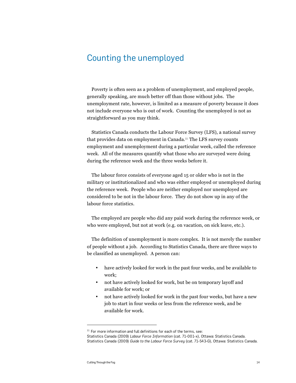## Counting the unemployed

Poverty is often seen as a problem of unemployment, and employed people, generally speaking, are much better off than those without jobs. The unemployment rate, however, is limited as a measure of poverty because it does not include everyone who is out of work. Counting the unemployed is not as straightforward as you may think.

Statistics Canada conducts the Labour Force Survey (LFS), a national survey that provides data on employment in Canada.11 The LFS survey counts employment and unemployment during a particular week, called the reference week. All of the measures quantify what those who are surveyed were doing during the reference week and the three weeks before it.

The labour force consists of everyone aged 15 or older who is not in the military or institutionalized and who was either employed or unemployed during the reference week. People who are neither employed nor unemployed are considered to be not in the labour force. They do not show up in any of the labour force statistics.

The employed are people who did any paid work during the reference week, or who were employed, but not at work (e.g. on vacation, on sick leave, etc.).

The definition of unemployment is more complex. It is not merely the number of people without a job. According to Statistics Canada, there are three ways to be classified as unemployed. A person can:

- have actively looked for work in the past four weeks, and be available to work;
- not have actively looked for work, but be on temporary layoff and available for work; or
- not have actively looked for work in the past four weeks, but have a new job to start in four weeks or less from the reference week, and be available for work.

 $11$  For more information and full definitions for each of the terms, see:

Statistics Canada (2009) *Labour Force Information* (cat. 71-001-x), Ottawa: Statistics Canada. Statistics Canada (2009) *Guide to the Labour Force Survey* (cat. 71-543-G), Ottawa: Statistics Canada.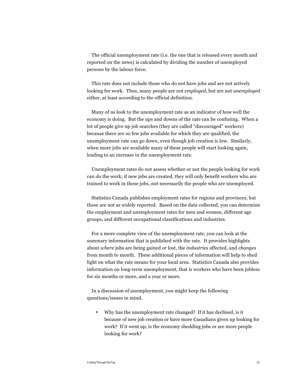The official unemployment rate (i.e. the one that is released every month and reported on the news) is calculated by dividing the number of unemployed persons by the labour force.

This rate does not include those who do not have jobs and are not actively looking for work. Thus, many people are not *employed*, but are not *unemployed* either, at least according to the official definition.

Many of us look to the unemployment rate as an indicator of how well the economy is doing. But the ups and downs of the rate can be confusing. When a lot of people give up job searches (they are called "discouraged" workers) because there are so few jobs available for which they are qualified, the unemployment rate can go down, even though job creation is low. Similarly, when more jobs are available many of these people will start looking again, leading to an increase in the unemployment rate.

Unemployment rates do not assess whether or not the people looking for work can *do* the work; if new jobs are created, they will only benefit workers who are trained to work in those jobs, not necessarily the people who are unemployed.

Statistics Canada publishes employment rates for regions and provinces, but these are not as widely reported. Based on the data collected, you can determine the employment and unemployment rates for men and women, different age groups, and different occupational classifications and industries.

For a more complete view of the unemployment rate, you can look at the summary information that is published with the rate. It provides highlights about *where* jobs are being gained or lost, the *industries* affected, and *changes* from month to month. These additional pieces of information will help to shed light on what the rate means for your local area. Statistics Canada also provides information on long-term unemployment, that is workers who have been jobless for six months or more, and a year or more.

In a discussion of unemployment, you might keep the following questions/issues in mind.

• Why has the unemployment rate changed? If it has declined, is it because of new job creation or have more Canadians given up looking for work? If it went up, is the economy shedding jobs or are more people looking for work?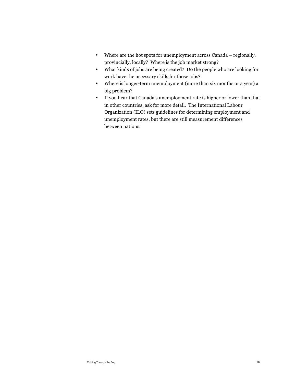- Where are the hot spots for unemployment across Canada regionally, provincially, locally? Where is the job market strong?
- What kinds of jobs are being created? Do the people who are looking for work have the necessary skills for those jobs?
- Where is longer-term unemployment (more than six months or a year) a big problem?
- If you hear that Canada's unemployment rate is higher or lower than that in other countries, ask for more detail. The International Labour Organization (ILO) sets guidelines for determining employment and unemployment rates, but there are still measurement differences between nations.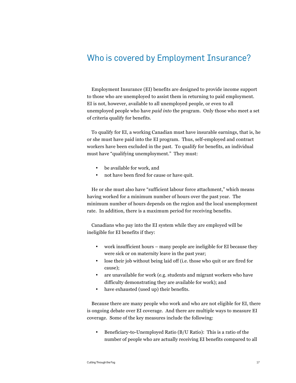## Who is covered by Employment Insurance?

Employment Insurance (EI) benefits are designed to provide income support to those who are unemployed to assist them in returning to paid employment. EI is not, however, available to all unemployed people, or even to all unemployed people who have *paid into* the program. Only those who meet a set of criteria qualify for benefits.

To qualify for EI, a working Canadian must have insurable earnings, that is, he or she must have paid into the EI program. Thus, self-employed and contract workers have been excluded in the past. To qualify for benefits, an individual must have "qualifying unemployment." They must:

- be available for work, and
- not have been fired for cause or have quit.

He or she must also have "sufficient labour force attachment," which means having worked for a minimum number of hours over the past year. The minimum number of hours depends on the region and the local unemployment rate. In addition, there is a maximum period for receiving benefits.

Canadians who pay into the EI system while they are employed will be ineligible for EI benefits if they:

- work insufficient hours many people are ineligible for EI because they were sick or on maternity leave in the past year;
- lose their job without being laid off (i.e. those who quit or are fired for cause);
- are unavailable for work (e.g. students and migrant workers who have difficulty demonstrating they are available for work); and
- have exhausted (used up) their benefits.

Because there are many people who work and who are not eligible for EI, there is ongoing debate over EI coverage. And there are multiple ways to measure EI coverage. Some of the key measures include the following:

• Beneficiary-to-Unemployed Ratio (B/U Ratio): This is a ratio of the number of people who are actually receiving EI benefits compared to all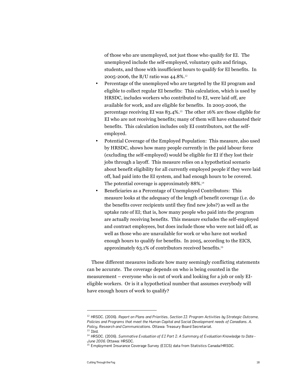of those who are unemployed, not just those who qualify for EI. The unemployed include the self-employed, voluntary quits and firings, students, and those with insufficient hours to qualify for EI benefits. In 2005-2006, the B/U ratio was 44.8%.<sup>12</sup>

- Percentage of the unemployed who are targeted by the EI program and eligible to collect regular EI benefits: This calculation, which is used by HRSDC, includes workers who contributed to EI, were laid off, are available for work, and are eligible for benefits. In 2005-2006, the percentage receiving EI was 83.4%.13 The other 16% are those eligible for EI who are not receiving benefits; many of them will have exhausted their benefits. This calculation includes only EI contributors, not the selfemployed.
- Potential Coverage of the Employed Population: This measure, also used by HRSDC, shows how many people currently in the paid labour force (excluding the self-employed) would be eligible for EI if they lost their jobs through a layoff. This measure relies on a hypothetical scenario about benefit eligibility for all currently employed people if they were laid off, had paid into the EI system, and had enough hours to be covered. The potential coverage is approximately 88%.<sup>14</sup>
- Beneficiaries as a Percentage of Unemployed Contributors: This measure looks at the adequacy of the length of benefit coverage (i.e. do the benefits cover recipients until they find new jobs?) as well as the uptake rate of EI; that is, how many people who paid into the program are actually receiving benefits. This measure excludes the self-employed and contract employees, but does include those who were not laid off, as well as those who are unavailable for work or who have not worked enough hours to qualify for benefits. In 2005, according to the EICS, approximately 63.1% of contributors received benefits.<sup>15</sup>

These different measures indicate how many seemingly conflicting statements can be accurate. The coverage depends on who is being counted in the measurement – everyone who is out of work and looking for a job or only EIeligible workers. Or is it a hypothetical number that assumes everybody will have enough hours of work to qualify?

<sup>&</sup>lt;sup>12</sup> HRSDC. (2006). *Report on Plans and Priorities, Section II: Program Activities by Strategic Outcome, Policies and Programs that meet the Human Capital and Social Development needs of Canadians. A. Policy, Research and Communications*. Ottawa: Treasury Board Secretariat.  $13$  Thid.

<sup>14</sup> HRSDC. (2006). *Summative Evaluation of EI Part I: A Summary of Evaluation Knowledge to Date - June 2006*. Ottawa: HRSDC.

<sup>&</sup>lt;sup>15</sup> Employment Insurance Coverage Survey (EICS) data from Statistics Canada/HRSDC.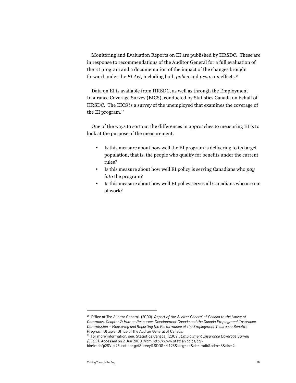Monitoring and Evaluation Reports on EI are published by HRSDC. These are in response to recommendations of the Auditor General for a full evaluation of the EI program and a documentation of the impact of the changes brought forward under the *EI Act*, including both *policy* and *program* effects.<sup>16</sup>

Data on EI is available from HRSDC, as well as through the Employment Insurance Coverage Survey (EICS), conducted by Statistics Canada on behalf of HRSDC. The EICS is a survey of the unemployed that examines the coverage of the EI program.<sup>17</sup>

One of the ways to sort out the differences in approaches to measuring EI is to look at the purpose of the measurement.

- Is this measure about how well the EI program is delivering to its target population, that is, the people who qualify for benefits under the current rules?
- Is this measure about how well EI policy is serving Canadians who *pay into* the program?
- Is this measure about how well EI policy serves all Canadians who are out of work?

<sup>&</sup>lt;sup>16</sup> Office of The Auditor General. (2003). *Report of the Auditor General of Canada to the House of Commons, Chapter 7: Human Resources Development Canada and the Canada Employment Insurance Commission – Measuring and Reporting the Performance of the Employment Insurance Benefits Program*. Ottawa: Office of the Auditor General of Canada.

<sup>17</sup> For more information, see: Statistics Canada. (2009). *Employment Insurance Coverage Survey (EICS)*. Accessed on 2 Jun 2009, from http://www.statcan.gc.ca/cgi-

bin/imdb/p2SV.pl?Function=getSurvey&SDDS=4428&lang=en&db=imdb&adm=8&dis=2.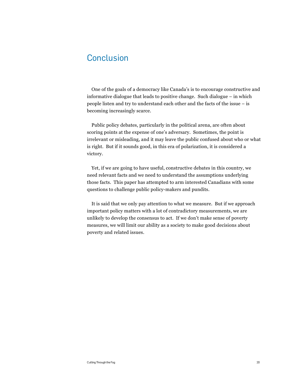## **Conclusion**

One of the goals of a democracy like Canada's is to encourage constructive and informative dialogue that leads to positive change. Such dialogue – in which people listen and try to understand each other and the facts of the issue – is becoming increasingly scarce.

Public policy debates, particularly in the political arena, are often about scoring points at the expense of one's adversary. Sometimes, the point is irrelevant or misleading, and it may leave the public confused about who or what is right. But if it sounds good, in this era of polarization, it is considered a victory.

Yet, if we are going to have useful, constructive debates in this country, we need relevant facts and we need to understand the assumptions underlying those facts. This paper has attempted to arm interested Canadians with some questions to challenge public policy-makers and pundits.

It is said that we only pay attention to what we measure. But if we approach important policy matters with a lot of contradictory measurements, we are unlikely to develop the consensus to act. If we don't make sense of poverty measures, we will limit our ability as a society to make good decisions about poverty and related issues.